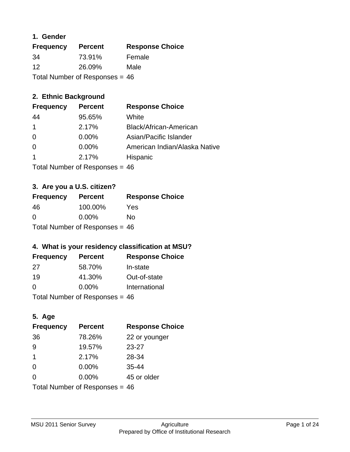#### **1. Gender**

| <b>Frequency</b>                 | <b>Percent</b> | <b>Response Choice</b> |
|----------------------------------|----------------|------------------------|
| -34                              | 73.91%         | Female                 |
| 12                               | 26.09%         | Male                   |
| Total Number of Responses = $46$ |                |                        |

## **2. Ethnic Background**

| <b>Frequency</b>     | <b>Percent</b> | <b>Response Choice</b>        |
|----------------------|----------------|-------------------------------|
| 44                   | 95.65%         | White                         |
| $\blacktriangleleft$ | 2.17%          | Black/African-American        |
| $\Omega$             | $0.00\%$       | Asian/Pacific Islander        |
| $\Omega$             | $0.00\%$       | American Indian/Alaska Native |
|                      | 2.17%          | Hispanic                      |
|                      |                |                               |

Total Number of Responses = 46

## **3. Are you a U.S. citizen?**

| <b>Frequency</b>                 | <b>Percent</b> | <b>Response Choice</b> |
|----------------------------------|----------------|------------------------|
| -46                              | 100.00%        | Yes                    |
| $\Omega$                         | $0.00\%$       | Nο                     |
| Total Number of Responses = $46$ |                |                        |

## **4. What is your residency classification at MSU?**

| <b>Frequency</b> | <b>Percent</b> | <b>Response Choice</b> |
|------------------|----------------|------------------------|
| 27               | 58.70%         | In-state               |
| 19               | 41.30%         | Out-of-state           |
| $\Omega$         | $0.00\%$       | International          |
|                  |                |                        |

Total Number of Responses = 46

## **5. Age**

| <b>Frequency</b>                 | <b>Percent</b> | <b>Response Choice</b> |
|----------------------------------|----------------|------------------------|
| 36                               | 78.26%         | 22 or younger          |
| 9                                | 19.57%         | $23 - 27$              |
| $\mathbf 1$                      | 2.17%          | 28-34                  |
| $\Omega$                         | $0.00\%$       | $35 - 44$              |
| $\Omega$                         | 0.00%          | 45 or older            |
| Total Number of Responses = $46$ |                |                        |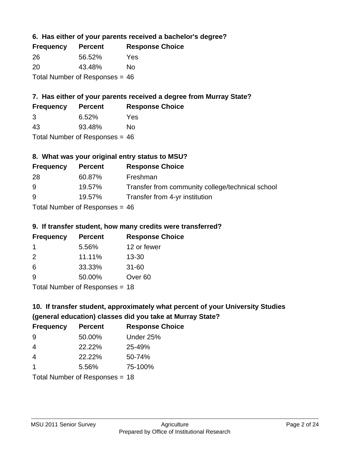#### **6. Has either of your parents received a bachelor's degree?**

| <b>Frequency</b>                 | <b>Percent</b> | <b>Response Choice</b> |
|----------------------------------|----------------|------------------------|
| 26                               | 56.52%         | Yes                    |
| -20                              | 43.48%         | Nο                     |
| Total Number of Responses = $46$ |                |                        |

## **7. Has either of your parents received a degree from Murray State?**

| <b>Frequency</b> | <b>Percent</b> | <b>Response Choice</b> |
|------------------|----------------|------------------------|
| -3               | 6.52%          | Yes                    |
| 43               | 93.48%         | No.                    |

Total Number of Responses = 46

## **8. What was your original entry status to MSU?**

| <b>Frequency</b> | <b>Percent</b>              | <b>Response Choice</b>                           |
|------------------|-----------------------------|--------------------------------------------------|
| 28               | 60.87%                      | Freshman                                         |
| 9                | 19.57%                      | Transfer from community college/technical school |
| 9                | 19.57%                      | Transfer from 4-yr institution                   |
|                  | Tetal Niusalan of Despenses |                                                  |

Total Number of Responses = 46

#### **9. If transfer student, how many credits were transferred?**

| <b>Frequency</b>                 | <b>Percent</b> | <b>Response Choice</b> |
|----------------------------------|----------------|------------------------|
| $\mathbf 1$                      | 5.56%          | 12 or fewer            |
| $\mathcal{P}$                    | 11.11%         | $13 - 30$              |
| 6                                | 33.33%         | $31 - 60$              |
| -9                               | 50.00%         | Over <sub>60</sub>     |
| $Total Number of Doeponeoc = 19$ |                |                        |

Total Number of Responses = 18

## **10. If transfer student, approximately what percent of your University Studies (general education) classes did you take at Murray State?**

| <b>Frequency</b> | <b>Percent</b>                 | <b>Response Choice</b> |
|------------------|--------------------------------|------------------------|
| -9               | 50.00%                         | Under 25%              |
| $\overline{4}$   | 22.22%                         | 25-49%                 |
| $\overline{4}$   | 22.22%                         | 50-74%                 |
| 1                | 5.56%                          | 75-100%                |
|                  | Total Number of Responses = 18 |                        |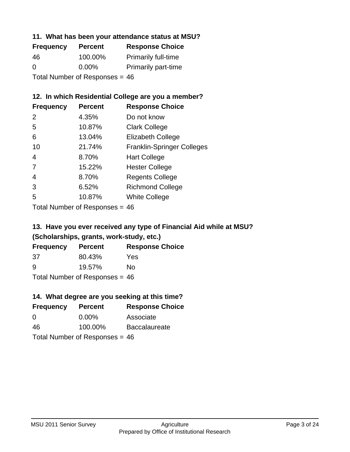#### **11. What has been your attendance status at MSU?**

| <b>Frequency</b>                 | <b>Percent</b> | <b>Response Choice</b>     |
|----------------------------------|----------------|----------------------------|
| 46                               | 100.00%        | <b>Primarily full-time</b> |
| 0                                | $0.00\%$       | <b>Primarily part-time</b> |
| Total Number of Responses = $46$ |                |                            |

#### **12. In which Residential College are you a member?**

| <b>Frequency</b> | <b>Percent</b> | <b>Response Choice</b>            |
|------------------|----------------|-----------------------------------|
| 2                | 4.35%          | Do not know                       |
| 5                | 10.87%         | <b>Clark College</b>              |
| 6                | 13.04%         | <b>Elizabeth College</b>          |
| 10               | 21.74%         | <b>Franklin-Springer Colleges</b> |
| 4                | 8.70%          | <b>Hart College</b>               |
| 7                | 15.22%         | <b>Hester College</b>             |
| 4                | 8.70%          | <b>Regents College</b>            |
| 3                | 6.52%          | <b>Richmond College</b>           |
| 5                | 10.87%         | <b>White College</b>              |

Total Number of Responses = 46

#### **13. Have you ever received any type of Financial Aid while at MSU? (Scholarships, grants, work-study, etc.)**

| Frequency                        | <b>Percent</b> | <b>Response Choice</b> |
|----------------------------------|----------------|------------------------|
| 37                               | 80.43%         | Yes                    |
| 9                                | 19.57%         | No.                    |
| Total Number of Responses = $46$ |                |                        |

## **14. What degree are you seeking at this time?**

| <b>Frequency</b> | <b>Percent</b>                   | <b>Response Choice</b> |
|------------------|----------------------------------|------------------------|
| 0                | $0.00\%$                         | Associate              |
| 46               | 100.00%                          | <b>Baccalaureate</b>   |
|                  | Total Number of Responses = $46$ |                        |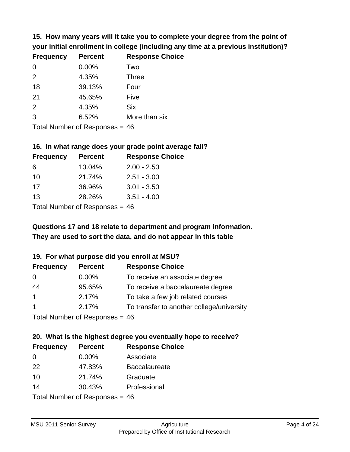**15. How many years will it take you to complete your degree from the point of your initial enrollment in college (including any time at a previous institution)?**

| <b>Frequency</b> | <b>Percent</b> | <b>Response Choice</b> |
|------------------|----------------|------------------------|
| $\Omega$         | 0.00%          | Two                    |
| 2                | 4.35%          | <b>Three</b>           |
| 18               | 39.13%         | Four                   |
| 21               | 45.65%         | Five                   |
| 2                | 4.35%          | <b>Six</b>             |
| 3                | 6.52%          | More than six          |
|                  |                |                        |

Total Number of Responses = 46

#### **16. In what range does your grade point average fall?**

| <b>Frequency</b> | <b>Percent</b> | <b>Response Choice</b> |
|------------------|----------------|------------------------|
| 6                | 13.04%         | $2.00 - 2.50$          |
| 10               | 21.74%         | $2.51 - 3.00$          |
| 17               | 36.96%         | $3.01 - 3.50$          |
| 13               | 28.26%         | $3.51 - 4.00$          |
|                  |                |                        |

Total Number of Responses = 46

## **They are used to sort the data, and do not appear in this table Questions 17 and 18 relate to department and program information.**

#### **19. For what purpose did you enroll at MSU?**

| <b>Frequency</b> | <b>Percent</b>                  | <b>Response Choice</b>                    |
|------------------|---------------------------------|-------------------------------------------|
| $\overline{0}$   | $0.00\%$                        | To receive an associate degree            |
| 44               | 95.65%                          | To receive a baccalaureate degree         |
| $\overline{1}$   | 2.17%                           | To take a few job related courses         |
| $\overline{1}$   | 2.17%                           | To transfer to another college/university |
|                  | $Total Number of DoEROROR = AC$ |                                           |

Total Number of Responses = 46

## **20. What is the highest degree you eventually hope to receive?**

| <b>Frequency</b>               | <b>Percent</b> | <b>Response Choice</b> |
|--------------------------------|----------------|------------------------|
| $\Omega$                       | 0.00%          | Associate              |
| 22                             | 47.83%         | <b>Baccalaureate</b>   |
| 10                             | 21.74%         | Graduate               |
| 14                             | 30.43%         | Professional           |
| Total Number of Poenances - 16 |                |                        |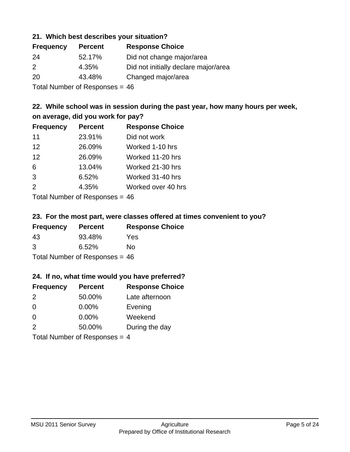#### **21. Which best describes your situation?**

| <b>Frequency</b> | <b>Percent</b> | <b>Response Choice</b>               |
|------------------|----------------|--------------------------------------|
| -24              | 52.17%         | Did not change major/area            |
| 2                | 4.35%          | Did not initially declare major/area |
| <b>20</b>        | 43.48%         | Changed major/area                   |
|                  |                |                                      |

Total Number of Responses = 46

#### **22. While school was in session during the past year, how many hours per week, on average, did you work for pay?**

| <b>Frequency</b> | <b>Percent</b> | <b>Response Choice</b> |
|------------------|----------------|------------------------|
| 11               | 23.91%         | Did not work           |
| 12               | 26.09%         | Worked 1-10 hrs        |
| 12               | 26.09%         | Worked 11-20 hrs       |
| 6                | 13.04%         | Worked 21-30 hrs       |
| 3                | 6.52%          | Worked 31-40 hrs       |
| 2                | 4.35%          | Worked over 40 hrs     |
|                  |                |                        |

Total Number of Responses = 46

#### **23. For the most part, were classes offered at times convenient to you?**

| <b>Frequency</b>                 | <b>Percent</b> | <b>Response Choice</b> |
|----------------------------------|----------------|------------------------|
| 43                               | 93.48%         | Yes                    |
| 3                                | 6.52%          | No.                    |
| Total Number of Responses = $46$ |                |                        |

#### **24. If no, what time would you have preferred?**

| <b>Frequency</b>                | <b>Percent</b> | <b>Response Choice</b> |
|---------------------------------|----------------|------------------------|
| 2                               | 50.00%         | Late afternoon         |
| 0                               | $0.00\%$       | Evening                |
| 0                               | $0.00\%$       | Weekend                |
| 2                               | 50.00%         | During the day         |
| Total Number of Responses = $4$ |                |                        |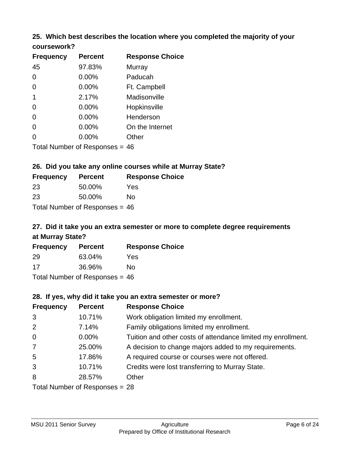# **25. Which best describes the location where you completed the majority of your**

| coursework? |
|-------------|
|-------------|

| <b>Frequency</b> | <b>Percent</b>                   | <b>Response Choice</b> |
|------------------|----------------------------------|------------------------|
| 45               | 97.83%                           | Murray                 |
| 0                | $0.00\%$                         | Paducah                |
| 0                | 0.00%                            | Ft. Campbell           |
| 1                | 2.17%                            | Madisonville           |
| 0                | 0.00%                            | Hopkinsville           |
| 0                | $0.00\%$                         | Henderson              |
| 0                | 0.00%                            | On the Internet        |
| 0                | $0.00\%$                         | Other                  |
|                  | Total Number of Responses $=$ 46 |                        |

#### **26. Did you take any online courses while at Murray State?**

| <b>Frequency</b> | <b>Percent</b>                   | <b>Response</b> |
|------------------|----------------------------------|-----------------|
| 23               | 50.00%                           | Yes             |
| 23               | 50.00%                           | No.             |
|                  | Total Number of Responses = $46$ |                 |

## **27. Did it take you an extra semester or more to complete degree requirements at Murray State?**

**Choice** 

| <b>Frequency</b> | <b>Percent</b>                   | <b>Response Choice</b> |
|------------------|----------------------------------|------------------------|
| 29               | 63.04%                           | Yes                    |
| 17               | 36.96%                           | No                     |
|                  | Total Number of Responses = $46$ |                        |

#### **28. If yes, why did it take you an extra semester or more?**

| <b>Frequency</b>               | <b>Percent</b> | <b>Response Choice</b>                                       |  |
|--------------------------------|----------------|--------------------------------------------------------------|--|
| 3                              | 10.71%         | Work obligation limited my enrollment.                       |  |
| 2                              | 7.14%          | Family obligations limited my enrollment.                    |  |
| $\mathbf 0$                    | $0.00\%$       | Tuition and other costs of attendance limited my enrollment. |  |
| $\overline{7}$                 | 25.00%         | A decision to change majors added to my requirements.        |  |
| 5                              | 17.86%         | A required course or courses were not offered.               |  |
| 3                              | 10.71%         | Credits were lost transferring to Murray State.              |  |
| 8                              | 28.57%         | Other                                                        |  |
| Total Number of Responses = 28 |                |                                                              |  |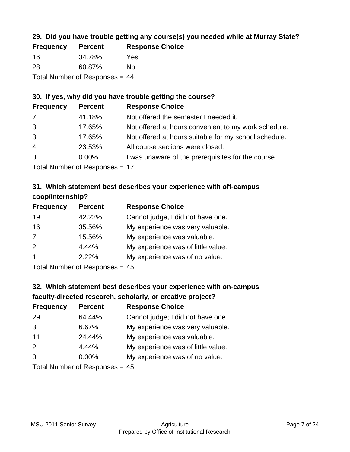## **29. Did you have trouble getting any course(s) you needed while at Murray State?**

| <b>Frequency</b>               | <b>Percent</b> | <b>Response Choice</b> |  |  |
|--------------------------------|----------------|------------------------|--|--|
| -16                            | 34.78%         | Yes                    |  |  |
| -28                            | 60.87%         | Nο                     |  |  |
| Total Number of Responses = 44 |                |                        |  |  |

## **30. If yes, why did you have trouble getting the course?**

| <b>Frequency</b> | <b>Percent</b> | <b>Response Choice</b>                                |
|------------------|----------------|-------------------------------------------------------|
| 7                | 41.18%         | Not offered the semester I needed it.                 |
| 3                | 17.65%         | Not offered at hours convenient to my work schedule.  |
| 3                | 17.65%         | Not offered at hours suitable for my school schedule. |
| $\overline{4}$   | 23.53%         | All course sections were closed.                      |
| $\overline{0}$   | 0.00%          | I was unaware of the prerequisites for the course.    |
|                  |                |                                                       |

Total Number of Responses = 17

## **31. Which statement best describes your experience with off-campus coop/internship?**

| <b>Frequency</b> | <b>Percent</b> | <b>Response Choice</b>             |
|------------------|----------------|------------------------------------|
| 19               | 42.22%         | Cannot judge, I did not have one.  |
| 16               | 35.56%         | My experience was very valuable.   |
| 7                | 15.56%         | My experience was valuable.        |
| 2                | 4.44%          | My experience was of little value. |
| $\overline{1}$   | 2.22%          | My experience was of no value.     |
|                  |                |                                    |

Total Number of Responses = 45

## **32. Which statement best describes your experience with on-campus faculty-directed research, scholarly, or creative project?**

| <b>Frequency</b> | <b>Percent</b>            | <b>Response Choice</b>             |
|------------------|---------------------------|------------------------------------|
| 29               | 64.44%                    | Cannot judge; I did not have one.  |
| 3                | 6.67%                     | My experience was very valuable.   |
| 11               | 24.44%                    | My experience was valuable.        |
| 2                | 4.44%                     | My experience was of little value. |
| $\Omega$         | $0.00\%$                  | My experience was of no value.     |
|                  | Total Number of Desponses |                                    |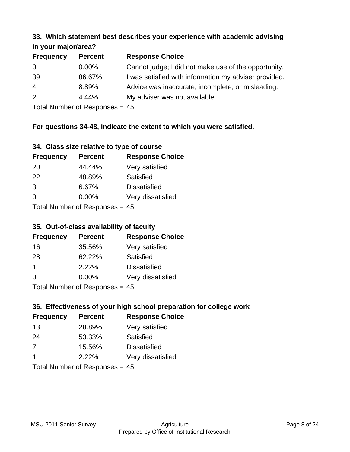#### **33. Which statement best describes your experience with academic advising in your major/area?**

| in your major/area? |                |                                                       |
|---------------------|----------------|-------------------------------------------------------|
| <b>Frequency</b>    | <b>Percent</b> | <b>Response Choice</b>                                |
| 0                   | $0.00\%$       | Cannot judge; I did not make use of the opportunity.  |
| 39                  | 86.67%         | I was satisfied with information my adviser provided. |
| $\overline{4}$      | 8.89%          | Advice was inaccurate, incomplete, or misleading.     |
| 2                   | 4.44%          | My adviser was not available.                         |
|                     |                |                                                       |

Total Number of Responses = 45

## **For questions 34-48, indicate the extent to which you were satisfied.**

| 34. Class size relative to type of course |  |  |  |  |  |  |  |  |
|-------------------------------------------|--|--|--|--|--|--|--|--|
|-------------------------------------------|--|--|--|--|--|--|--|--|

| <b>Frequency</b>                | <b>Percent</b> | <b>Response Choice</b> |  |  |
|---------------------------------|----------------|------------------------|--|--|
| -20                             | 44.44%         | Very satisfied         |  |  |
| -22                             | 48.89%         | Satisfied              |  |  |
| 3                               | 6.67%          | <b>Dissatisfied</b>    |  |  |
| $\Omega$                        | $0.00\%$       | Very dissatisfied      |  |  |
| Total Number of Responses $-15$ |                |                        |  |  |

Total Number of Responses = 45

## **35. Out-of-class availability of faculty**

| <b>Frequency</b> | <b>Percent</b>             | <b>Response Choice</b> |
|------------------|----------------------------|------------------------|
| 16               | 35.56%                     | Very satisfied         |
| 28               | 62.22%                     | Satisfied              |
| $\mathbf 1$      | 2.22%                      | <b>Dissatisfied</b>    |
| $\Omega$         | 0.00%                      | Very dissatisfied      |
|                  | Total Number of Deepersoon |                        |

Total Number of Responses = 45

## **36. Effectiveness of your high school preparation for college work**

| <b>Frequency</b>               | <b>Percent</b> | <b>Response Choice</b> |  |
|--------------------------------|----------------|------------------------|--|
| 13                             | 28.89%         | Very satisfied         |  |
| 24                             | 53.33%         | Satisfied              |  |
| 7                              | 15.56%         | <b>Dissatisfied</b>    |  |
| $\overline{1}$                 | 2.22%          | Very dissatisfied      |  |
| Total Number of Responses = 45 |                |                        |  |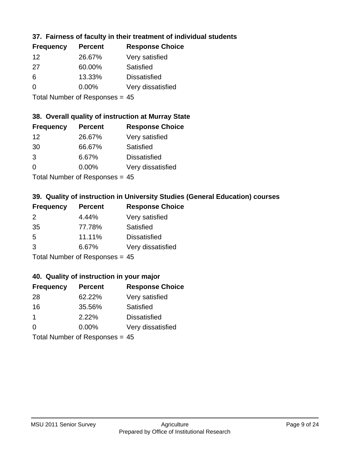## **37. Fairness of faculty in their treatment of individual students**

| <b>Frequency</b> | <b>Percent</b> | <b>Response Choice</b> |
|------------------|----------------|------------------------|
| 12               | 26.67%         | Very satisfied         |
| 27               | 60.00%         | Satisfied              |
| 6                | 13.33%         | <b>Dissatisfied</b>    |
| 0                | $0.00\%$       | Very dissatisfied      |
|                  |                |                        |

Total Number of Responses = 45

## **38. Overall quality of instruction at Murray State**

| <b>Frequency</b> | <b>Percent</b>            | <b>Response Choice</b> |
|------------------|---------------------------|------------------------|
| 12               | 26.67%                    | Very satisfied         |
| 30               | 66.67%                    | Satisfied              |
| 3                | 6.67%                     | <b>Dissatisfied</b>    |
| $\Omega$         | 0.00%                     | Very dissatisfied      |
|                  | Total Number of Deepersee |                        |

Total Number of Responses = 45

## **39. Quality of instruction in University Studies (General Education) courses**

| <b>Frequency</b> | <b>Percent</b>               | <b>Response Choice</b> |
|------------------|------------------------------|------------------------|
| 2                | 4.44%                        | Very satisfied         |
| 35               | 77.78%                       | Satisfied              |
| .5               | 11.11%                       | <b>Dissatisfied</b>    |
| $\mathcal{B}$    | 6.67%                        | Very dissatisfied      |
|                  | Total Number of Deepensee 15 |                        |

Total Number of Responses = 45

#### **40. Quality of instruction in your major**

| <b>Frequency</b>               | <b>Percent</b> | <b>Response Choice</b> |
|--------------------------------|----------------|------------------------|
| 28                             | 62.22%         | Very satisfied         |
| 16                             | 35.56%         | Satisfied              |
| $\mathbf 1$                    | 2.22%          | <b>Dissatisfied</b>    |
| $\Omega$                       | $0.00\%$       | Very dissatisfied      |
| Total Number of Responses = 45 |                |                        |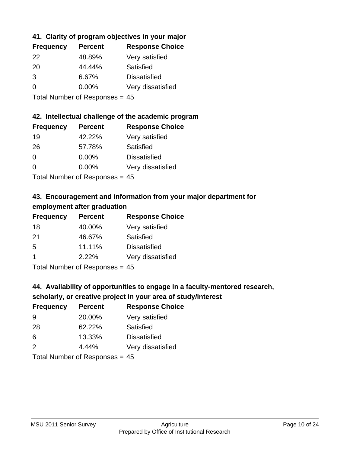## **41. Clarity of program objectives in your major**

| <b>Frequency</b> | <b>Percent</b> | <b>Response Choice</b> |
|------------------|----------------|------------------------|
| 22               | 48.89%         | Very satisfied         |
| -20              | 44.44%         | Satisfied              |
| 3                | 6.67%          | <b>Dissatisfied</b>    |
| $\Omega$         | $0.00\%$       | Very dissatisfied      |
|                  |                |                        |

Total Number of Responses = 45

#### **42. Intellectual challenge of the academic program**

| <b>Frequency</b> | <b>Percent</b> | <b>Response Choice</b> |
|------------------|----------------|------------------------|
| 19               | 42.22%         | Very satisfied         |
| 26               | 57.78%         | Satisfied              |
| $\Omega$         | 0.00%          | <b>Dissatisfied</b>    |
| $\Omega$         | 0.00%          | Very dissatisfied      |
|                  |                |                        |

Total Number of Responses = 45

## **43. Encouragement and information from your major department for employment after graduation**

| <b>Frequency</b>     | <b>Percent</b> | <b>Response Choice</b> |
|----------------------|----------------|------------------------|
| 18                   | 40.00%         | Very satisfied         |
| 21                   | 46.67%         | Satisfied              |
| 5                    | 11.11%         | <b>Dissatisfied</b>    |
| $\blacktriangleleft$ | 2.22%          | Very dissatisfied      |
|                      |                |                        |

Total Number of Responses = 45

## **44. Availability of opportunities to engage in a faculty-mentored research,**

## **scholarly, or creative project in your area of study/interest**

| <b>Frequency</b> | <b>Percent</b> | <b>Response Choice</b> |
|------------------|----------------|------------------------|
| 9                | 20.00%         | Very satisfied         |
| 28               | 62.22%         | Satisfied              |
| 6                | 13.33%         | <b>Dissatisfied</b>    |
| $\mathcal{P}$    | 4.44%          | Very dissatisfied      |
|                  |                |                        |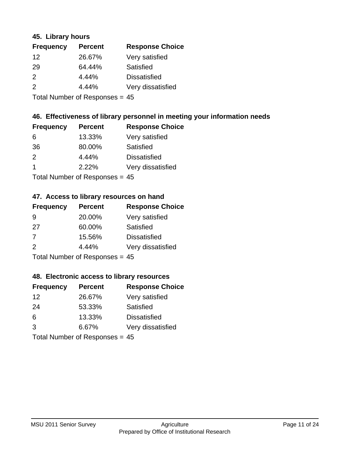#### **45. Library hours**

| <b>Frequency</b> | <b>Percent</b> | <b>Response Choice</b> |
|------------------|----------------|------------------------|
| 12               | 26.67%         | Very satisfied         |
| 29               | 64.44%         | Satisfied              |
| 2                | 4.44%          | <b>Dissatisfied</b>    |
| 2                | 4.44%          | Very dissatisfied      |
|                  |                |                        |

Total Number of Responses = 45

#### **46. Effectiveness of library personnel in meeting your information needs**

| <b>Frequency</b> | <b>Percent</b> | <b>Response Choice</b> |
|------------------|----------------|------------------------|
| 6                | 13.33%         | Very satisfied         |
| 36               | 80.00%         | Satisfied              |
| $\mathcal{P}$    | 4.44%          | <b>Dissatisfied</b>    |
|                  | 2.22%          | Very dissatisfied      |
|                  |                |                        |

Total Number of Responses = 45

#### **47. Access to library resources on hand**

| <b>Frequency</b> | <b>Percent</b>             | <b>Response Choice</b> |
|------------------|----------------------------|------------------------|
| 9                | 20.00%                     | Very satisfied         |
| 27               | 60.00%                     | Satisfied              |
| 7                | 15.56%                     | <b>Dissatisfied</b>    |
| $\mathcal{P}$    | 4.44%                      | Very dissatisfied      |
|                  | Total Number of Deepersoon |                        |

Total Number of Responses = 45

## **48. Electronic access to library resources**

| <b>Frequency</b>               | <b>Percent</b> | <b>Response Choice</b> |
|--------------------------------|----------------|------------------------|
| 12                             | 26.67%         | Very satisfied         |
| 24                             | 53.33%         | Satisfied              |
| 6                              | 13.33%         | <b>Dissatisfied</b>    |
| 3                              | 6.67%          | Very dissatisfied      |
| Total Number of Responses = 45 |                |                        |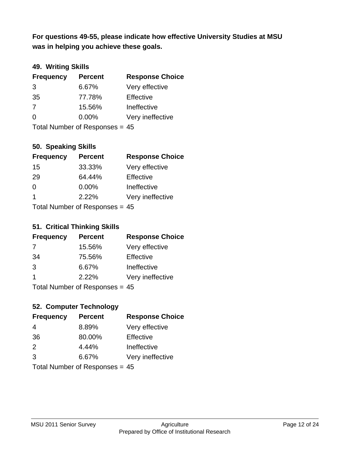**was in helping you achieve these goals. For questions 49-55, please indicate how effective University Studies at MSU** 

## **49. Writing Skills**

| <b>Frequency</b>               | <b>Percent</b> | <b>Response Choice</b> |
|--------------------------------|----------------|------------------------|
| 3                              | 6.67%          | Very effective         |
| 35                             | 77.78%         | Effective              |
| 7                              | 15.56%         | Ineffective            |
| $\Omega$                       | $0.00\%$       | Very ineffective       |
| Total Number of Responses = 45 |                |                        |

#### **50. Speaking Skills**

| <b>Frequency</b>                 | <b>Percent</b> | <b>Response Choice</b> |
|----------------------------------|----------------|------------------------|
| 15                               | 33.33%         | Very effective         |
| 29                               | 64.44%         | Effective              |
| $\Omega$                         | 0.00%          | Ineffective            |
| -1                               | 2.22%          | Very ineffective       |
| Total Number of Responses $= 45$ |                |                        |

# **51. Critical Thinking Skills**

| <b>Frequency</b> | <b>Percent</b>             | <b>Response Choice</b> |
|------------------|----------------------------|------------------------|
| 7                | 15.56%                     | Very effective         |
| 34               | 75.56%                     | Effective              |
| 3                | 6.67%                      | Ineffective            |
|                  | 2.22%                      | Very ineffective       |
|                  | Tatal Number of Desperance |                        |

Total Number of Responses = 45

## **52. Computer Technology**

| <b>Frequency</b>               | <b>Percent</b> | <b>Response Choice</b> |
|--------------------------------|----------------|------------------------|
| 4                              | 8.89%          | Very effective         |
| 36                             | 80.00%         | Effective              |
| 2                              | 4.44%          | Ineffective            |
| 3                              | 6.67%          | Very ineffective       |
| Total Number of Responses = 45 |                |                        |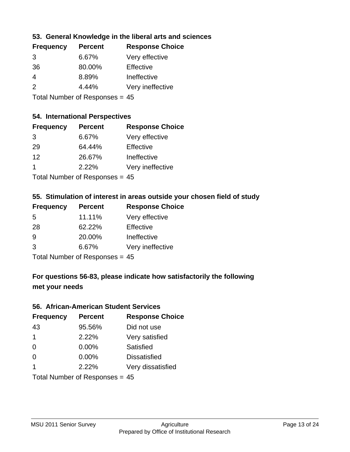#### **53. General Knowledge in the liberal arts and sciences**

| <b>Frequency</b> | <b>Percent</b> | <b>Response Choice</b> |
|------------------|----------------|------------------------|
| 3                | 6.67%          | Very effective         |
| 36               | 80.00%         | Effective              |
| 4                | 8.89%          | Ineffective            |
| $\mathcal{P}$    | 4.44%          | Very ineffective       |
|                  |                |                        |

Total Number of Responses = 45

### **54. International Perspectives**

| <b>Frequency</b> | <b>Percent</b>            | <b>Response Choice</b> |
|------------------|---------------------------|------------------------|
| 3                | 6.67%                     | Very effective         |
| 29               | 64.44%                    | Effective              |
| 12               | 26.67%                    | Ineffective            |
| 1                | 2.22%                     | Very ineffective       |
|                  | Tatal Manulau af Dannauga |                        |

Total Number of Responses = 45

## **55. Stimulation of interest in areas outside your chosen field of study**

| <b>Frequency</b>               | <b>Percent</b> | <b>Response Choice</b> |
|--------------------------------|----------------|------------------------|
| 5                              | 11.11%         | Very effective         |
| 28                             | 62.22%         | Effective              |
| 9                              | 20.00%         | Ineffective            |
| 3                              | 6.67%          | Very ineffective       |
| Total Number of Responses = 45 |                |                        |

## **For questions 56-83, please indicate how satisfactorily the following met your needs**

#### **56. African-American Student Services**

| <b>Frequency</b> | <b>Percent</b>                   | <b>Response Choice</b> |
|------------------|----------------------------------|------------------------|
| 43               | 95.56%                           | Did not use            |
| $\mathbf 1$      | 2.22%                            | Very satisfied         |
| $\Omega$         | 0.00%                            | Satisfied              |
| $\Omega$         | $0.00\%$                         | <b>Dissatisfied</b>    |
| -1               | 2.22%                            | Very dissatisfied      |
|                  | Total Number of Responses = $45$ |                        |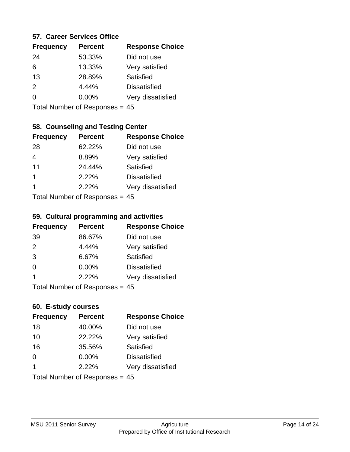#### **57. Career Services Office**

| <b>Frequency</b> | <b>Percent</b> | <b>Response Choice</b> |
|------------------|----------------|------------------------|
| 24               | 53.33%         | Did not use            |
| 6                | 13.33%         | Very satisfied         |
| 13               | 28.89%         | Satisfied              |
| $\mathcal{P}$    | 4.44%          | <b>Dissatisfied</b>    |
| ∩                | $0.00\%$       | Very dissatisfied      |
|                  |                |                        |

Total Number of Responses = 45

## **58. Counseling and Testing Center**

| <b>Frequency</b> | <b>Percent</b>            | <b>Response Choice</b> |
|------------------|---------------------------|------------------------|
| 28               | 62.22%                    | Did not use            |
| 4                | 8.89%                     | Very satisfied         |
| 11               | 24.44%                    | Satisfied              |
| 1                | 2.22%                     | <b>Dissatisfied</b>    |
| 1                | 2.22%                     | Very dissatisfied      |
|                  | Total Number of Desperace |                        |

Total Number of Responses = 45

#### **59. Cultural programming and activities**

| <b>Frequency</b>             | <b>Percent</b> | <b>Response Choice</b> |
|------------------------------|----------------|------------------------|
| 39                           | 86.67%         | Did not use            |
| 2                            | 4.44%          | Very satisfied         |
| 3                            | 6.67%          | Satisfied              |
| $\Omega$                     | $0.00\%$       | <b>Dissatisfied</b>    |
| -1                           | 2.22%          | Very dissatisfied      |
| Total Number of Deepensee 45 |                |                        |

Total Number of Responses = 45

#### **60. E-study courses**

| <b>Frequency</b> | <b>Percent</b>                 | <b>Response Choice</b> |
|------------------|--------------------------------|------------------------|
| 18               | 40.00%                         | Did not use            |
| 10               | 22.22%                         | Very satisfied         |
| 16               | 35.56%                         | <b>Satisfied</b>       |
| $\Omega$         | $0.00\%$                       | <b>Dissatisfied</b>    |
| $\mathbf 1$      | 2.22%                          | Very dissatisfied      |
|                  | Total Number of Responses = 45 |                        |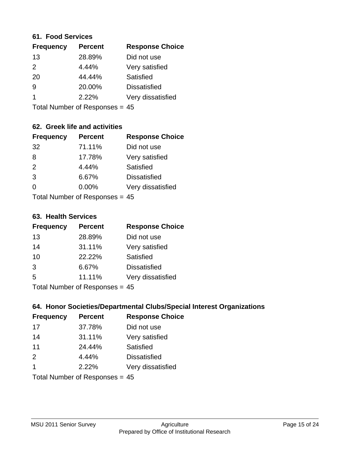#### **61. Food Services**

| <b>Frequency</b> | <b>Percent</b> | <b>Response Choice</b> |
|------------------|----------------|------------------------|
| 13               | 28.89%         | Did not use            |
| $\mathcal{P}$    | 4.44%          | Very satisfied         |
| 20               | 44.44%         | Satisfied              |
| 9                | 20.00%         | <b>Dissatisfied</b>    |
|                  | 2.22%          | Very dissatisfied      |
|                  |                |                        |

Total Number of Responses = 45

## **62. Greek life and activities**

| <b>Frequency</b>               | <b>Percent</b> | <b>Response Choice</b> |
|--------------------------------|----------------|------------------------|
| 32                             | 71.11%         | Did not use            |
| 8                              | 17.78%         | Very satisfied         |
| 2                              | 4.44%          | Satisfied              |
| 3                              | 6.67%          | <b>Dissatisfied</b>    |
| $\Omega$                       | 0.00%          | Very dissatisfied      |
| $Total Number of Denance = 45$ |                |                        |

Total Number of Responses = 45

#### **63. Health Services**

| <b>Frequency</b> | <b>Percent</b> | <b>Response Choice</b> |
|------------------|----------------|------------------------|
| 13               | 28.89%         | Did not use            |
| 14               | 31.11%         | Very satisfied         |
| 10               | 22.22%         | Satisfied              |
| 3                | 6.67%          | <b>Dissatisfied</b>    |
| 5                | 11.11%         | Very dissatisfied      |
|                  |                |                        |

Total Number of Responses = 45

#### **64. Honor Societies/Departmental Clubs/Special Interest Organizations**

| <b>Frequency</b> | <b>Percent</b>                 | <b>Response Choice</b> |
|------------------|--------------------------------|------------------------|
| 17               | 37.78%                         | Did not use            |
| 14               | 31.11%                         | Very satisfied         |
| 11               | 24.44%                         | Satisfied              |
| 2                | 4.44%                          | <b>Dissatisfied</b>    |
| $\overline{1}$   | 2.22%                          | Very dissatisfied      |
|                  | Total Number of Responses = 45 |                        |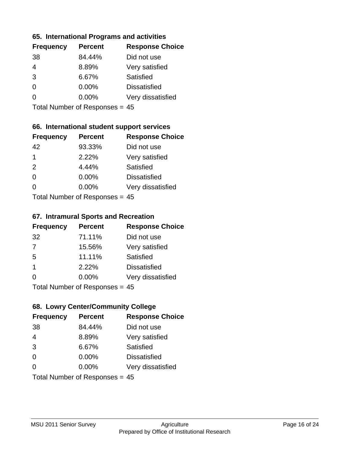#### **65. International Programs and activities**

| <b>Frequency</b> | <b>Percent</b> | <b>Response Choice</b> |
|------------------|----------------|------------------------|
| 38               | 84.44%         | Did not use            |
| 4                | 8.89%          | Very satisfied         |
| 3                | 6.67%          | Satisfied              |
| 0                | $0.00\%$       | <b>Dissatisfied</b>    |
|                  | $0.00\%$       | Very dissatisfied      |
|                  |                |                        |

Total Number of Responses = 45

#### **66. International student support services**

| <b>Frequency</b> | <b>Percent</b>             | <b>Response Choice</b> |
|------------------|----------------------------|------------------------|
| 42               | 93.33%                     | Did not use            |
| 1                | 2.22%                      | Very satisfied         |
| 2                | 4.44%                      | Satisfied              |
| $\Omega$         | 0.00%                      | <b>Dissatisfied</b>    |
| $\Omega$         | 0.00%                      | Very dissatisfied      |
|                  | Total Number of Deepersoon |                        |

Total Number of Responses = 45

#### **67. Intramural Sports and Recreation**

| <b>Frequency</b> | <b>Percent</b>                  | <b>Response Choice</b> |
|------------------|---------------------------------|------------------------|
| 32               | 71.11%                          | Did not use            |
| 7                | 15.56%                          | Very satisfied         |
| 5                | 11.11%                          | Satisfied              |
| -1               | 2.22%                           | <b>Dissatisfied</b>    |
| $\Omega$         | 0.00%                           | Very dissatisfied      |
|                  | $Total Number of Doonono0 = AE$ |                        |

Total Number of Responses = 45

## **68. Lowry Center/Community College**

| <b>Frequency</b>               | <b>Percent</b> | <b>Response Choice</b> |
|--------------------------------|----------------|------------------------|
| 38                             | 84.44%         | Did not use            |
| $\overline{4}$                 | 8.89%          | Very satisfied         |
| 3                              | 6.67%          | Satisfied              |
| $\Omega$                       | 0.00%          | <b>Dissatisfied</b>    |
| $\Omega$                       | $0.00\%$       | Very dissatisfied      |
| Total Number of Responses = 45 |                |                        |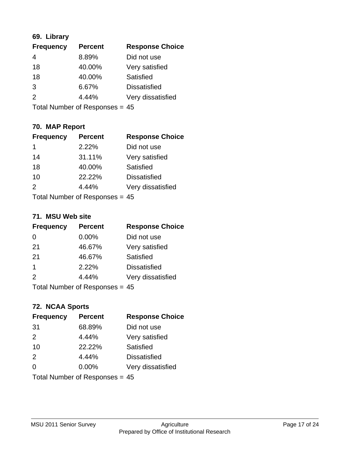#### **69. Library**

| <b>Frequency</b> | <b>Percent</b> | <b>Response Choice</b> |
|------------------|----------------|------------------------|
| 4                | 8.89%          | Did not use            |
| 18               | 40.00%         | Very satisfied         |
| 18               | 40.00%         | Satisfied              |
| 3                | 6.67%          | <b>Dissatisfied</b>    |
| 2                | 4.44%          | Very dissatisfied      |
|                  |                |                        |

Total Number of Responses = 45

## **70. MAP Report**

| <b>Frequency</b> | <b>Percent</b>                   | <b>Response Choice</b> |
|------------------|----------------------------------|------------------------|
| 1                | 2.22%                            | Did not use            |
| 14               | 31.11%                           | Very satisfied         |
| 18               | 40.00%                           | Satisfied              |
| 10               | 22.22%                           | <b>Dissatisfied</b>    |
| $\mathcal{P}$    | 4.44%                            | Very dissatisfied      |
|                  | Total Number of Responses = $45$ |                        |

#### **71. MSU Web site**

| <b>Frequency</b> | <b>Percent</b> | <b>Response Choice</b> |
|------------------|----------------|------------------------|
| $\Omega$         | 0.00%          | Did not use            |
| 21               | 46.67%         | Very satisfied         |
| 21               | 46.67%         | <b>Satisfied</b>       |
| $\mathbf 1$      | 2.22%          | <b>Dissatisfied</b>    |
| $\mathcal{P}$    | 4.44%          | Very dissatisfied      |
|                  |                |                        |

Total Number of Responses = 45

## **72. NCAA Sports**

| <b>Frequency</b> | <b>Percent</b>                 | <b>Response Choice</b> |
|------------------|--------------------------------|------------------------|
| 31               | 68.89%                         | Did not use            |
| 2                | 4.44%                          | Very satisfied         |
| 10               | 22.22%                         | <b>Satisfied</b>       |
| 2                | 4.44%                          | <b>Dissatisfied</b>    |
| $\Omega$         | $0.00\%$                       | Very dissatisfied      |
|                  | Total Number of Responses = 45 |                        |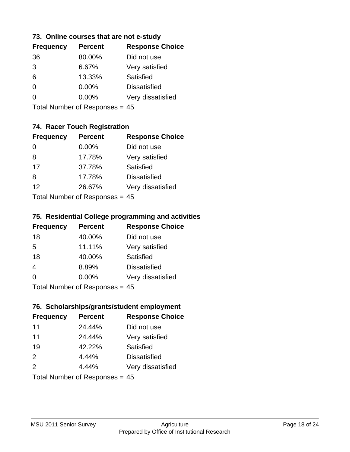#### **73. Online courses that are not e-study**

| <b>Frequency</b> | <b>Percent</b> | <b>Response Choice</b> |
|------------------|----------------|------------------------|
| 36               | 80.00%         | Did not use            |
| 3                | 6.67%          | Very satisfied         |
| 6                | 13.33%         | Satisfied              |
| 0                | $0.00\%$       | <b>Dissatisfied</b>    |
|                  | $0.00\%$       | Very dissatisfied      |
|                  |                |                        |

Total Number of Responses = 45

## **74. Racer Touch Registration**

| <b>Frequency</b>         | <b>Percent</b> | <b>Response Choice</b> |
|--------------------------|----------------|------------------------|
| $\Omega$                 | $0.00\%$       | Did not use            |
| 8                        | 17.78%         | Very satisfied         |
| 17                       | 37.78%         | Satisfied              |
| 8                        | 17.78%         | <b>Dissatisfied</b>    |
| 12                       | 26.67%         | Very dissatisfied      |
| Total Number of DoEROR 0 |                |                        |

Total Number of Responses = 45

#### **75. Residential College programming and activities**

| <b>Frequency</b> | <b>Percent</b>               | <b>Response Choice</b> |
|------------------|------------------------------|------------------------|
| 18               | 40.00%                       | Did not use            |
| 5                | 11.11%                       | Very satisfied         |
| 18               | 40.00%                       | Satisfied              |
| $\overline{4}$   | 8.89%                        | <b>Dissatisfied</b>    |
| $\Omega$         | 0.00%                        | Very dissatisfied      |
|                  | Total Number of Deepensee 45 |                        |

Total Number of Responses = 45

## **76. Scholarships/grants/student employment**

| <b>Frequency</b> | <b>Percent</b>                   | <b>Response Choice</b> |
|------------------|----------------------------------|------------------------|
| 11               | 24.44%                           | Did not use            |
| 11               | 24.44%                           | Very satisfied         |
| 19               | 42.22%                           | Satisfied              |
| 2                | 4.44%                            | <b>Dissatisfied</b>    |
| 2                | 4.44%                            | Very dissatisfied      |
|                  | Total Number of Responses = $45$ |                        |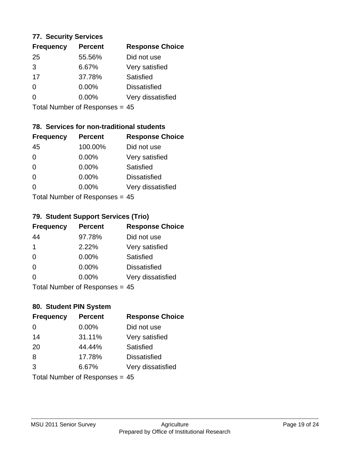#### **77. Security Services**

| <b>Frequency</b> | <b>Percent</b> | <b>Response Choice</b> |
|------------------|----------------|------------------------|
| 25               | 55.56%         | Did not use            |
| 3                | 6.67%          | Very satisfied         |
| 17               | 37.78%         | Satisfied              |
| 0                | $0.00\%$       | <b>Dissatisfied</b>    |
| ∩                | 0.00%          | Very dissatisfied      |
|                  |                |                        |

Total Number of Responses = 45

## **78. Services for non-traditional students**

| <b>Frequency</b> | <b>Percent</b>            | <b>Response Choice</b> |
|------------------|---------------------------|------------------------|
| 45               | 100.00%                   | Did not use            |
| $\Omega$         | 0.00%                     | Very satisfied         |
| $\Omega$         | 0.00%                     | <b>Satisfied</b>       |
| $\Omega$         | 0.00%                     | <b>Dissatisfied</b>    |
| $\Omega$         | 0.00%                     | Very dissatisfied      |
|                  | Total Number of Desperace |                        |

Total Number of Responses = 45

#### **79. Student Support Services (Trio)**

| <b>Frequency</b> | <b>Percent</b>                   | <b>Response Choice</b> |
|------------------|----------------------------------|------------------------|
| 44               | 97.78%                           | Did not use            |
| $\overline{1}$   | 2.22%                            | Very satisfied         |
| $\Omega$         | 0.00%                            | Satisfied              |
| $\Omega$         | 0.00%                            | <b>Dissatisfied</b>    |
| $\Omega$         | 0.00%                            | Very dissatisfied      |
|                  | $Total Number of Doononoog = AE$ |                        |

Total Number of Responses = 45

## **80. Student PIN System**

| <b>Frequency</b>               | <b>Percent</b> | <b>Response Choice</b> |
|--------------------------------|----------------|------------------------|
| $\Omega$                       | $0.00\%$       | Did not use            |
| 14                             | 31.11%         | Very satisfied         |
| 20                             | 44.44%         | Satisfied              |
| 8                              | 17.78%         | <b>Dissatisfied</b>    |
| 3                              | 6.67%          | Very dissatisfied      |
| Total Number of Responses = 45 |                |                        |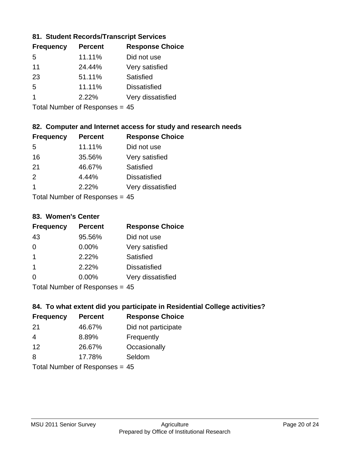#### **81. Student Records/Transcript Services**

| <b>Frequency</b> | <b>Percent</b> | <b>Response Choice</b> |
|------------------|----------------|------------------------|
| .5               | 11.11%         | Did not use            |
| 11               | 24.44%         | Very satisfied         |
| 23               | 51.11%         | Satisfied              |
| 5                | 11.11%         | <b>Dissatisfied</b>    |
|                  | 2.22%          | Very dissatisfied      |

Total Number of Responses = 45

#### **82. Computer and Internet access for study and research needs**

| <b>Frequency</b> | <b>Percent</b>                 | <b>Response Choice</b> |
|------------------|--------------------------------|------------------------|
| 5                | 11.11%                         | Did not use            |
| 16               | 35.56%                         | Very satisfied         |
| -21              | 46.67%                         | Satisfied              |
| 2                | 4.44%                          | <b>Dissatisfied</b>    |
| -1               | 2.22%                          | Very dissatisfied      |
|                  | Tatal Manufacture Construction |                        |

Total Number of Responses = 45

#### **83. Women's Center**

| <b>Frequency</b> | <b>Percent</b>             | <b>Response Choice</b> |
|------------------|----------------------------|------------------------|
| 43               | 95.56%                     | Did not use            |
| $\Omega$         | 0.00%                      | Very satisfied         |
| -1               | 2.22%                      | <b>Satisfied</b>       |
| -1               | 2.22%                      | <b>Dissatisfied</b>    |
| $\Omega$         | 0.00%                      | Very dissatisfied      |
|                  | Total Number of Desperance |                        |

Total Number of Responses = 45

## **84. To what extent did you participate in Residential College activities?**

| <b>Frequency</b> | <b>Percent</b>               | <b>Response Choice</b> |
|------------------|------------------------------|------------------------|
| -21              | 46.67%                       | Did not participate    |
| 4                | 8.89%                        | Frequently             |
| 12               | 26.67%                       | Occasionally           |
| 8                | 17.78%                       | Seldom                 |
|                  | Total Number of Deepensee 15 |                        |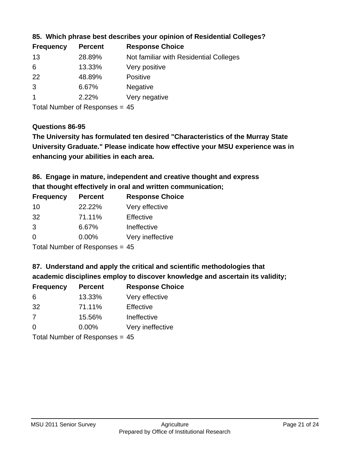| <b>Frequency</b> | <b>Percent</b> | <b>Response Choice</b>                 |
|------------------|----------------|----------------------------------------|
| 13               | 28.89%         | Not familiar with Residential Colleges |
| 6                | 13.33%         | Very positive                          |
| <b>22</b>        | 48.89%         | <b>Positive</b>                        |
| 3                | 6.67%          | <b>Negative</b>                        |
|                  | 2.22%          | Very negative                          |
|                  |                |                                        |

**85. Which phrase best describes your opinion of Residential Colleges?**

Total Number of Responses = 45

#### **Questions 86-95**

**University Graduate." Please indicate how effective your MSU experience was in The University has formulated ten desired "Characteristics of the Murray State enhancing your abilities in each area.**

**86. Engage in mature, independent and creative thought and express that thought effectively in oral and written communication;**

| <b>Percent</b> | <b>Response Choice</b> |
|----------------|------------------------|
| 22.22%         | Very effective         |
| 71.11%         | Effective              |
| 6.67%          | Ineffective            |
| $0.00\%$       | Very ineffective       |
|                |                        |

Total Number of Responses = 45

**87. Understand and apply the critical and scientific methodologies that** 

**academic disciplines employ to discover knowledge and ascertain its validity;**

| <b>Frequency</b> | <b>Percent</b>             | <b>Response Choice</b> |
|------------------|----------------------------|------------------------|
| 6                | 13.33%                     | Very effective         |
| 32               | 71.11%                     | Effective              |
| 7                | 15.56%                     | Ineffective            |
| $\Omega$         | 0.00%                      | Very ineffective       |
|                  | Tatal Number of Desperance |                        |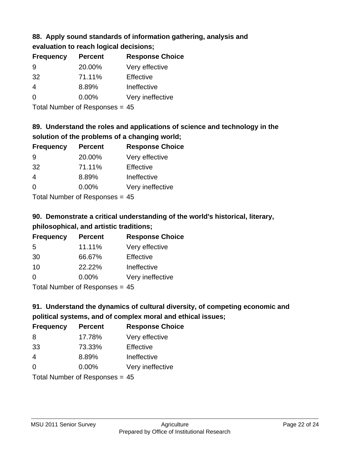#### **88. Apply sound standards of information gathering, analysis and evaluation to reach logical decisions;**

| <b>Frequency</b> | <b>Percent</b> | <b>Response Choice</b> |
|------------------|----------------|------------------------|
| 9                | 20.00%         | Very effective         |
| 32               | 71.11%         | Effective              |
| $\overline{4}$   | 8.89%          | Ineffective            |
| $\Omega$         | 0.00%          | Very ineffective       |
|                  |                |                        |

Total Number of Responses = 45

## **89. Understand the roles and applications of science and technology in the solution of the problems of a changing world;**

| <b>Frequency</b> | <b>Percent</b>               | <b>Response Choice</b> |
|------------------|------------------------------|------------------------|
| 9                | 20.00%                       | Very effective         |
| 32               | 71.11%                       | Effective              |
| 4                | 8.89%                        | Ineffective            |
| $\Omega$         | 0.00%                        | Very ineffective       |
|                  | $\tau$ . The state of $\sim$ |                        |

Total Number of Responses = 45

## **90. Demonstrate a critical understanding of the world's historical, literary, philosophical, and artistic traditions;**

| <b>Frequency</b> | <b>Percent</b> | <b>Response Choice</b> |
|------------------|----------------|------------------------|
| 5                | 11.11%         | Very effective         |
| 30               | 66.67%         | Effective              |
| 10               | 22.22%         | Ineffective            |
| $\Omega$         | 0.00%          | Very ineffective       |
|                  |                |                        |

Total Number of Responses = 45

## **91. Understand the dynamics of cultural diversity, of competing economic and political systems, and of complex moral and ethical issues;**

| <b>Frequency</b> | <b>Percent</b>                 | <b>Response Choice</b> |
|------------------|--------------------------------|------------------------|
| 8                | 17.78%                         | Very effective         |
| 33               | 73.33%                         | Effective              |
| $\overline{4}$   | 8.89%                          | Ineffective            |
| $\Omega$         | $0.00\%$                       | Very ineffective       |
|                  | Total Number of Responses = 45 |                        |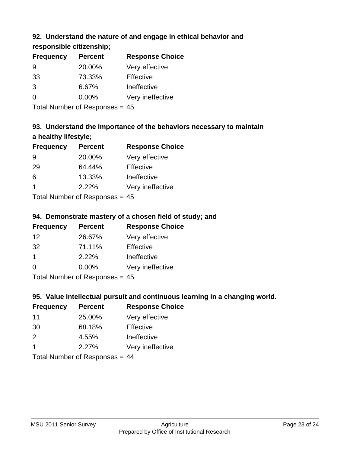## **92. Understand the nature of and engage in ethical behavior and**

**responsible citizenship;**

| <b>Frequency</b> | <b>Percent</b> | <b>Response Choice</b> |
|------------------|----------------|------------------------|
| 9                | 20.00%         | Very effective         |
| 33               | 73.33%         | Effective              |
| $\mathcal{B}$    | 6.67%          | Ineffective            |
| $\Omega$         | $0.00\%$       | Very ineffective       |
|                  |                |                        |

Total Number of Responses = 45

## **93. Understand the importance of the behaviors necessary to maintain a healthy lifestyle;**

| <b>Frequency</b> | <b>Percent</b>              | <b>Response Choice</b> |
|------------------|-----------------------------|------------------------|
| 9                | 20.00%                      | Very effective         |
| 29               | 64.44%                      | Effective              |
| 6                | 13.33%                      | Ineffective            |
| -1               | 2.22%                       | Very ineffective       |
|                  | Tatal Massakan af Dagmanage |                        |

Total Number of Responses = 45

## **94. Demonstrate mastery of a chosen field of study; and**

| <b>Frequency</b> | <b>Percent</b> | <b>Response Choice</b> |
|------------------|----------------|------------------------|
| 12               | 26.67%         | Very effective         |
| 32               | 71.11%         | Effective              |
|                  | 2.22%          | Ineffective            |
| $\Omega$         | $0.00\%$       | Very ineffective       |
|                  |                |                        |

Total Number of Responses = 45

## **95. Value intellectual pursuit and continuous learning in a changing world.**

| <b>Frequency</b> | <b>Percent</b> | <b>Response Choice</b> |
|------------------|----------------|------------------------|
| 11               | 25.00%         | Very effective         |
| 30               | 68.18%         | Effective              |
| $\mathcal{P}$    | 4.55%          | Ineffective            |
| -1               | 2.27%          | Very ineffective       |
|                  |                |                        |